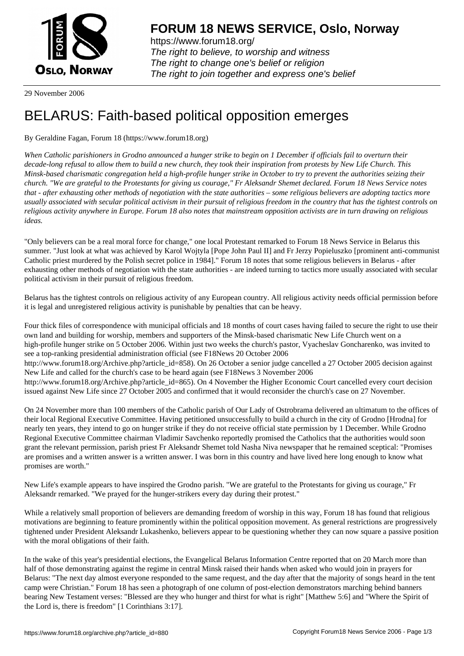

https://www.forum18.org/ The right to believe, to worship and witness The right to change one's belief or religion [The right to join together a](https://www.forum18.org/)nd express one's belief

29 November 2006

## [BELARUS: Fait](https://www.forum18.org)h-based political opposition emerges

## By Geraldine Fagan, Forum 18 (https://www.forum18.org)

*When Catholic parishioners in Grodno announced a hunger strike to begin on 1 December if officials fail to overturn their decade-long refusal to allow them to build a new church, they took their inspiration from protests by New Life Church. This Minsk-based charismatic congregation held a high-profile hunger strike in October to try to prevent the authorities seizing their church. "We are grateful to the Protestants for giving us courage," Fr Aleksandr Shemet declared. Forum 18 News Service notes that - after exhausting other methods of negotiation with the state authorities – some religious believers are adopting tactics more usually associated with secular political activism in their pursuit of religious freedom in the country that has the tightest controls on religious activity anywhere in Europe. Forum 18 also notes that mainstream opposition activists are in turn drawing on religious ideas.*

"Only believers can be a real moral force for change," one local Protestant remarked to Forum 18 News Service in Belarus this summer. "Just look at what was achieved by Karol Wojtyla [Pope John Paul II] and Fr Jerzy Popieluszko [prominent anti-communist Catholic priest murdered by the Polish secret police in 1984]." Forum 18 notes that some religious believers in Belarus - after exhausting other methods of negotiation with the state authorities - are indeed turning to tactics more usually associated with secular political activism in their pursuit of religious freedom.

Belarus has the tightest controls on religious activity of any European country. All religious activity needs official permission before it is legal and unregistered religious activity is punishable by penalties that can be heavy.

Four thick files of correspondence with municipal officials and 18 months of court cases having failed to secure the right to use their own land and building for worship, members and supporters of the Minsk-based charismatic New Life Church went on a high-profile hunger strike on 5 October 2006. Within just two weeks the church's pastor, Vyacheslav Goncharenko, was invited to see a top-ranking presidential administration official (see F18News 20 October 2006 http://www.forum18.org/Archive.php?article\_id=858). On 26 October a senior judge cancelled a 27 October 2005 decision against New Life and called for the church's case to be heard again (see F18News 3 November 2006 http://www.forum18.org/Archive.php?article\_id=865). On 4 November the Higher Economic Court cancelled every court decision issued against New Life since 27 October 2005 and confirmed that it would reconsider the church's case on 27 November.

On 24 November more than 100 members of the Catholic parish of Our Lady of Ostrobrama delivered an ultimatum to the offices of their local Regional Executive Committee. Having petitioned unsuccessfully to build a church in the city of Grodno [Hrodna] for nearly ten years, they intend to go on hunger strike if they do not receive official state permission by 1 December. While Grodno Regional Executive Committee chairman Vladimir Savchenko reportedly promised the Catholics that the authorities would soon grant the relevant permission, parish priest Fr Aleksandr Shemet told Nasha Niva newspaper that he remained sceptical: "Promises are promises and a written answer is a written answer. I was born in this country and have lived here long enough to know what promises are worth."

New Life's example appears to have inspired the Grodno parish. "We are grateful to the Protestants for giving us courage," Fr Aleksandr remarked. "We prayed for the hunger-strikers every day during their protest."

While a relatively small proportion of believers are demanding freedom of worship in this way, Forum 18 has found that religious motivations are beginning to feature prominently within the political opposition movement. As general restrictions are progressively tightened under President Aleksandr Lukashenko, believers appear to be questioning whether they can now square a passive position with the moral obligations of their faith.

In the wake of this year's presidential elections, the Evangelical Belarus Information Centre reported that on 20 March more than half of those demonstrating against the regime in central Minsk raised their hands when asked who would join in prayers for Belarus: "The next day almost everyone responded to the same request, and the day after that the majority of songs heard in the tent camp were Christian." Forum 18 has seen a photograph of one column of post-election demonstrators marching behind banners bearing New Testament verses: "Blessed are they who hunger and thirst for what is right" [Matthew 5:6] and "Where the Spirit of the Lord is, there is freedom" [1 Corinthians 3:17].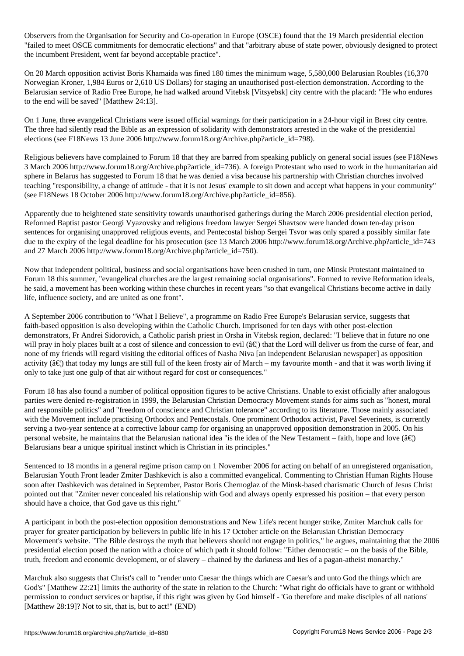$\Box$  Organisation for Security and Co-operation in Europe (OSCE) for Security and Co-operation in Europe (OSCE) for Security and Techniques (OSCE) for  $1$ "failed to meet OSCE commitments for democratic elections" and that "arbitrary abuse of state power, obviously designed to protect the incumbent President, went far beyond acceptable practice".

On 20 March opposition activist Boris Khamaida was fined 180 times the minimum wage, 5,580,000 Belarusian Roubles (16,370 Norwegian Kroner, 1,984 Euros or 2,610 US Dollars) for staging an unauthorised post-election demonstration. According to the Belarusian service of Radio Free Europe, he had walked around Vitebsk [Vitsyebsk] city centre with the placard: "He who endures to the end will be saved" [Matthew 24:13].

On 1 June, three evangelical Christians were issued official warnings for their participation in a 24-hour vigil in Brest city centre. The three had silently read the Bible as an expression of solidarity with demonstrators arrested in the wake of the presidential elections (see F18News 13 June 2006 http://www.forum18.org/Archive.php?article\_id=798).

Religious believers have complained to Forum 18 that they are barred from speaking publicly on general social issues (see F18News 3 March 2006 http://www.forum18.org/Archive.php?article\_id=736). A foreign Protestant who used to work in the humanitarian aid sphere in Belarus has suggested to Forum 18 that he was denied a visa because his partnership with Christian churches involved teaching "responsibility, a change of attitude - that it is not Jesus' example to sit down and accept what happens in your community" (see F18News 18 October 2006 http://www.forum18.org/Archive.php?article\_id=856).

Apparently due to heightened state sensitivity towards unauthorised gatherings during the March 2006 presidential election period, Reformed Baptist pastor Georgi Vyazovsky and religious freedom lawyer Sergei Shavtsov were handed down ten-day prison sentences for organising unapproved religious events, and Pentecostal bishop Sergei Tsvor was only spared a possibly similar fate due to the expiry of the legal deadline for his prosecution (see 13 March 2006 http://www.forum18.org/Archive.php?article\_id=743 and 27 March 2006 http://www.forum18.org/Archive.php?article\_id=750).

Now that independent political, business and social organisations have been crushed in turn, one Minsk Protestant maintained to Forum 18 this summer, "evangelical churches are the largest remaining social organisations". Formed to revive Reformation ideals, he said, a movement has been working within these churches in recent years "so that evangelical Christians become active in daily life, influence society, and are united as one front".

A September 2006 contribution to "What I Believe", a programme on Radio Free Europe's Belarusian service, suggests that faith-based opposition is also developing within the Catholic Church. Imprisoned for ten days with other post-election demonstrators, Fr Andrei Sidorovich, a Catholic parish priest in Orsha in Vitebsk region, declared: "I believe that in future no one will pray in holy places built at a cost of silence and concession to evil ( $\hat{a}\in$ ) that the Lord will deliver us from the curse of fear, and none of my friends will regard visiting the editorial offices of Nasha Niva [an independent Belarusian newspaper] as opposition activity ( $\hat{a}\in$ ) that today my lungs are still full of the keen frosty air of March – my favourite month - and that it was worth living if only to take just one gulp of that air without regard for cost or consequences."

Forum 18 has also found a number of political opposition figures to be active Christians. Unable to exist officially after analogous parties were denied re-registration in 1999, the Belarusian Christian Democracy Movement stands for aims such as "honest, moral and responsible politics" and "freedom of conscience and Christian tolerance" according to its literature. Those mainly associated with the Movement include practising Orthodox and Pentecostals. One prominent Orthodox activist, Pavel Severinets, is currently serving a two-year sentence at a corrective labour camp for organising an unapproved opposition demonstration in 2005. On his personal website, he maintains that the Belarusian national idea "is the idea of the New Testament – faith, hope and love ( $\hat{a}\in B$ ) Belarusians bear a unique spiritual instinct which is Christian in its principles."

Sentenced to 18 months in a general regime prison camp on 1 November 2006 for acting on behalf of an unregistered organisation, Belarusian Youth Front leader Zmiter Dashkevich is also a committed evangelical. Commenting to Christian Human Rights House soon after Dashkevich was detained in September, Pastor Boris Chernoglaz of the Minsk-based charismatic Church of Jesus Christ pointed out that "Zmiter never concealed his relationship with God and always openly expressed his position – that every person should have a choice, that God gave us this right."

A participant in both the post-election opposition demonstrations and New Life's recent hunger strike, Zmiter Marchuk calls for prayer for greater participation by believers in public life in his 17 October article on the Belarusian Christian Democracy Movement's website. "The Bible destroys the myth that believers should not engage in politics," he argues, maintaining that the 2006 presidential election posed the nation with a choice of which path it should follow: "Either democratic – on the basis of the Bible, truth, freedom and economic development, or of slavery – chained by the darkness and lies of a pagan-atheist monarchy."

Marchuk also suggests that Christ's call to "render unto Caesar the things which are Caesar's and unto God the things which are God's" [Matthew 22:21] limits the authority of the state in relation to the Church: "What right do officials have to grant or withhold permission to conduct services or baptise, if this right was given by God himself - 'Go therefore and make disciples of all nations' [Matthew 28:19]? Not to sit, that is, but to act!" (END)